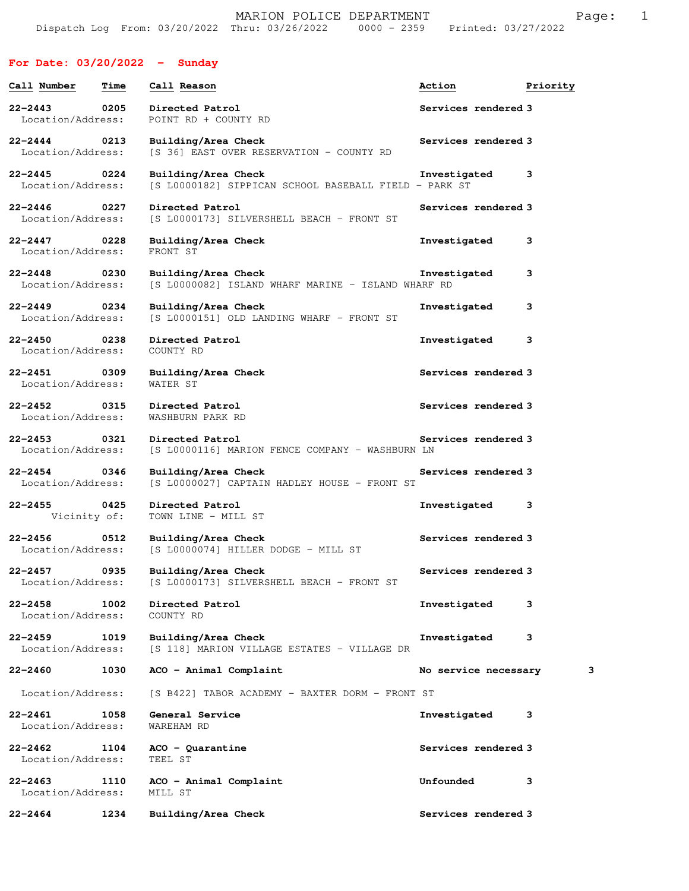## **For Date: 03/20/2022 - Sunday**

| Call Number                      | <b>Time</b> | Call Reason                                                                  | Action               | Priority |
|----------------------------------|-------------|------------------------------------------------------------------------------|----------------------|----------|
| 22-2443<br>Location/Address:     | 0205        | Directed Patrol<br>POINT RD + COUNTY RD                                      | Services rendered 3  |          |
| $22 - 2444$<br>Location/Address: | 0213        | Building/Area Check<br>[S 36] EAST OVER RESERVATION - COUNTY RD              | Services rendered 3  |          |
| 22-2445<br>Location/Address:     | 0224        | Building/Area Check<br>[S L0000182] SIPPICAN SCHOOL BASEBALL FIELD - PARK ST | Investigated         | 3        |
| $22 - 2446$<br>Location/Address: | 0227        | Directed Patrol<br>[S L0000173] SILVERSHELL BEACH - FRONT ST                 | Services rendered 3  |          |
| 22-2447<br>Location/Address:     | 0228        | Building/Area Check<br>FRONT ST                                              | Investigated         | 3        |
| $22 - 2448$<br>Location/Address: | 0230        | Building/Area Check<br>[S L0000082] ISLAND WHARF MARINE - ISLAND WHARF RD    | Investigated         | з        |
| $22 - 2449$<br>Location/Address: | 0234        | Building/Area Check<br>[S L0000151] OLD LANDING WHARF - FRONT ST             | Investigated         | 3        |
| $22 - 2450$<br>Location/Address: | 0238        | Directed Patrol<br>COUNTY RD                                                 | Investigated         | 3        |
| $22 - 2451$<br>Location/Address: | 0309        | Building/Area Check<br>WATER ST                                              | Services rendered 3  |          |
| $22 - 2452$<br>Location/Address: | 0315        | Directed Patrol<br>WASHBURN PARK RD                                          | Services rendered 3  |          |
| $22 - 2453$<br>Location/Address: | 0321        | Directed Patrol<br>[S L0000116] MARION FENCE COMPANY - WASHBURN LN           | Services rendered 3  |          |
| $22 - 2454$<br>Location/Address: | 0346        | Building/Area Check<br>[S L0000027] CAPTAIN HADLEY HOUSE - FRONT ST          | Services rendered 3  |          |
| $22 - 2455$<br>Vicinity of:      | 0425        | Directed Patrol<br>TOWN LINE - MILL ST                                       | Investigated         | 3        |
| 22-2456<br>Location/Address:     | 0512        | Building/Area Check<br>$[S L0000074]$ HILLER DODGE - MILL ST                 | Services rendered 3  |          |
| $22 - 2457$<br>Location/Address: | 0935        | Building/Area Check<br>[S L0000173] SILVERSHELL BEACH - FRONT ST             | Services rendered 3  |          |
| $22 - 2458$<br>Location/Address: | 1002        | Directed Patrol<br>COUNTY RD                                                 | Investigated         | з        |
| $22 - 2459$<br>Location/Address: | 1019        | Building/Area Check<br>[S 118] MARION VILLAGE ESTATES - VILLAGE DR           | Investigated         | 3        |
| 22-2460                          | 1030        | ACO - Animal Complaint                                                       | No service necessary | з        |
| Location/Address:                |             | [S B422] TABOR ACADEMY - BAXTER DORM - FRONT ST                              |                      |          |
| $22 - 2461$<br>Location/Address: | 1058        | General Service<br>WAREHAM RD                                                | Investigated         | 3        |
| 22-2462<br>Location/Address:     | 1104        | $ACO - Quarantine$<br>TEEL ST                                                | Services rendered 3  |          |
| $22 - 2463$<br>Location/Address: | 1110        | ACO - Animal Complaint<br>MILL ST                                            | Unfounded            | з        |
| $22 - 2464$                      | 1234        | Building/Area Check                                                          | Services rendered 3  |          |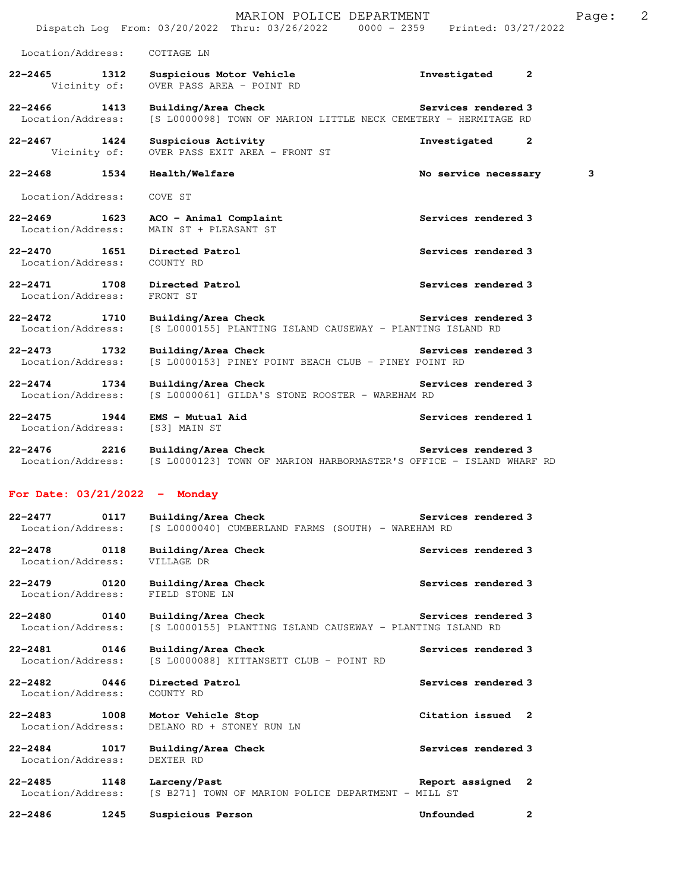|                                      |      | MARION POLICE DEPARTMENT<br>Dispatch Log From: 03/20/2022 Thru: 03/26/2022 0000 - 2359 Printed: 03/27/2022   |                              | Page: | 2 |
|--------------------------------------|------|--------------------------------------------------------------------------------------------------------------|------------------------------|-------|---|
| Location/Address:                    |      | COTTAGE LN                                                                                                   |                              |       |   |
| $22 - 2465$ 1312<br>Vicinity of:     |      | Suspicious Motor Vehicle<br>OVER PASS AREA - POINT RD                                                        | Investigated<br>$\mathbf{2}$ |       |   |
| $22 - 2466$<br>Location/Address:     | 1413 | Building/Area Check<br>[S L0000098] TOWN OF MARION LITTLE NECK CEMETERY - HERMITAGE RD                       | Services rendered 3          |       |   |
| $22 - 2467$ 1424<br>Vicinity of:     |      | Suspicious Activity<br>OVER PASS EXIT AREA - FRONT ST                                                        | Investigated 2               |       |   |
| $22 - 2468$                          | 1534 | Health/Welfare                                                                                               | No service necessary         | 3     |   |
| Location/Address:                    |      | COVE ST                                                                                                      |                              |       |   |
| 22–2469 1623<br>Location/Address:    |      | ACO - Animal Complaint<br>MAIN ST + PLEASANT ST                                                              | Services rendered 3          |       |   |
| $22 - 2470$<br>Location/Address:     | 1651 | Directed Patrol<br>COUNTY RD                                                                                 | Services rendered 3          |       |   |
| 22-2471 1708<br>Location/Address:    |      | Directed Patrol<br>FRONT ST                                                                                  | Services rendered 3          |       |   |
| 22-2472 1710<br>Location/Address:    |      | Building/Area Check<br>[S L0000155] PLANTING ISLAND CAUSEWAY - PLANTING ISLAND RD                            | Services rendered 3          |       |   |
| 22-2473 1732<br>Location/Address:    |      | Building/Area Check<br>[S L0000153] PINEY POINT BEACH CLUB - PINEY POINT RD                                  | Services rendered 3          |       |   |
| 1734<br>22-2474<br>Location/Address: |      | Building/Area Check<br>[S L0000061] GILDA'S STONE ROOSTER - WAREHAM RD                                       | Services rendered 3          |       |   |
| 22-2475 1944<br>Location/Address:    |      | EMS - Mutual Aid<br>[S3] MAIN ST                                                                             | Services rendered 1          |       |   |
| $22 - 2476$                          | 2216 | Building/Area Check<br>Location/Address: [S L0000123] TOWN OF MARION HARBORMASTER'S OFFICE - ISLAND WHARF RD | <b>Services rendered 3</b>   |       |   |
| For Date: $03/21/2022 -$ Monday      |      |                                                                                                              |                              |       |   |
| $22 - 2477$<br>Location/Address:     | 0117 | Building/Area Check<br>[S L0000040] CUMBERLAND FARMS (SOUTH) - WAREHAM RD                                    | Services rendered 3          |       |   |
| $22 - 2478$<br>Location/Address:     | 0118 | Building/Area Check<br>VILLAGE DR                                                                            | Services rendered 3          |       |   |
| $22 - 2479$<br>Location/Address:     | 0120 | Building/Area Check<br>FIELD STONE LN                                                                        | Services rendered 3          |       |   |
| $22 - 2480$<br>Location/Address:     | 0140 | Building/Area Check<br>[S L0000155] PLANTING ISLAND CAUSEWAY - PLANTING ISLAND RD                            | Services rendered 3          |       |   |
| 22-2481<br>Location/Address:         | 0146 | Building/Area Check<br>[S L0000088] KITTANSETT CLUB - POINT RD                                               | Services rendered 3          |       |   |
| $22 - 2482$<br>Location/Address:     | 0446 | Directed Patrol<br>COUNTY RD                                                                                 | Services rendered 3          |       |   |
| $22 - 2483$<br>Location/Address:     | 1008 | Motor Vehicle Stop<br>DELANO RD + STONEY RUN LN                                                              | Citation issued 2            |       |   |
| $22 - 2484$<br>Location/Address:     | 1017 | Building/Area Check<br>DEXTER RD                                                                             | Services rendered 3          |       |   |
|                                      |      |                                                                                                              |                              |       |   |

**22-2485 1148 Larceny/Past Report assigned 2**  Location/Address: [S B271] TOWN OF MARION POLICE DEPARTMENT - MILL ST

**22-2486 1245 Suspicious Person Unfounded 2**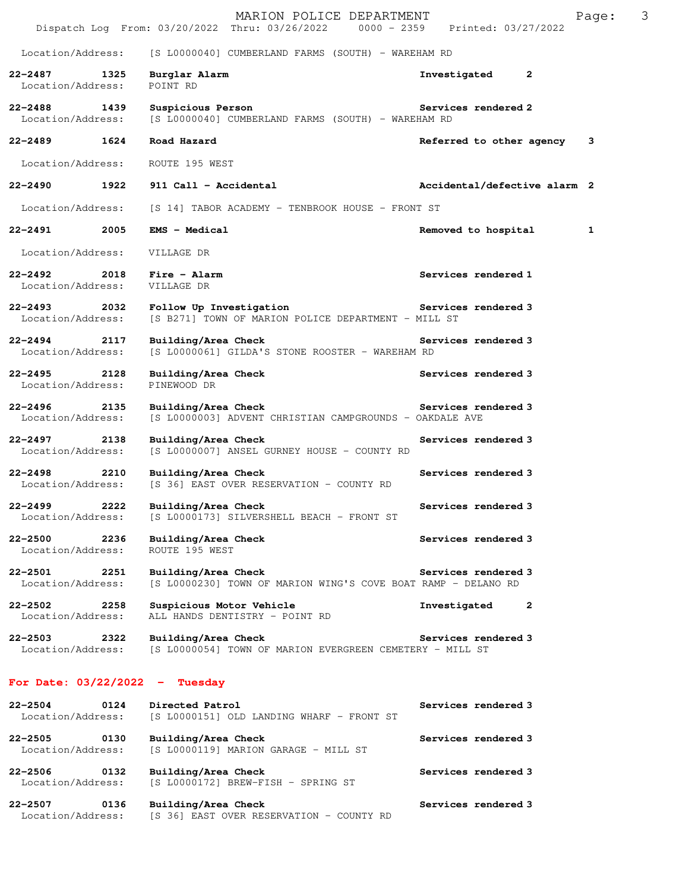|                                       |      | MARION POLICE DEPARTMENT<br>Dispatch Log From: 03/20/2022 Thru: 03/26/2022 0000 - 2359 Printed: 03/27/2022 |                              | Page: | 3 |
|---------------------------------------|------|------------------------------------------------------------------------------------------------------------|------------------------------|-------|---|
| Location/Address:                     |      | [S L0000040] CUMBERLAND FARMS (SOUTH) - WAREHAM RD                                                         |                              |       |   |
| $22 - 2487$<br>Location/Address:      | 1325 | Burglar Alarm<br>POINT RD                                                                                  | $\mathbf{2}$<br>Investigated |       |   |
| 22-2488 1439<br>Location/Address:     |      | Suspicious Person<br>[S L0000040] CUMBERLAND FARMS (SOUTH) - WAREHAM RD                                    | Services rendered 2          |       |   |
| 22-2489 1624                          |      | Road Hazard                                                                                                | Referred to other agency     | 3     |   |
| Location/Address:                     |      | ROUTE 195 WEST                                                                                             |                              |       |   |
| 22-2490                               | 1922 | 911 Call - Accidental                                                                                      | Accidental/defective alarm 2 |       |   |
| Location/Address:                     |      | [S 14] TABOR ACADEMY - TENBROOK HOUSE - FRONT ST                                                           |                              |       |   |
| 22-2491 2005                          |      | <b>EMS - Medical</b>                                                                                       | Removed to hospital          | 1     |   |
| Location/Address:                     |      | VILLAGE DR                                                                                                 |                              |       |   |
| 22-2492<br>Location/Address:          | 2018 | Fire - Alarm<br>VILLAGE DR                                                                                 | Services rendered 1          |       |   |
| 22–2493 2032<br>Location/Address:     |      | Follow Up Investigation Services rendered 3<br>[S B271] TOWN OF MARION POLICE DEPARTMENT - MILL ST         |                              |       |   |
| $22 - 2494$ 2117<br>Location/Address: |      | Building/Area Check<br>[S L0000061] GILDA'S STONE ROOSTER - WAREHAM RD                                     | Services rendered 3          |       |   |
| $22 - 2495$<br>Location/Address:      | 2128 | Building/Area Check<br>PINEWOOD DR                                                                         | Services rendered 3          |       |   |
| 22-2496<br>Location/Address:          | 2135 | Building/Area Check<br>[S L0000003] ADVENT CHRISTIAN CAMPGROUNDS - OAKDALE AVE                             | Services rendered 3          |       |   |
| $22 - 2497$<br>Location/Address:      | 2138 | Building/Area Check<br>[S L0000007] ANSEL GURNEY HOUSE - COUNTY RD                                         | Services rendered 3          |       |   |
| $22 - 2498$<br>Location/Address:      | 2210 | Building/Area Check<br>[S 36] EAST OVER RESERVATION - COUNTY RD                                            | Services rendered 3          |       |   |
| 22-2499<br>Location/Address:          | 2222 | Building/Area Check<br>[S L0000173] SILVERSHELL BEACH - FRONT ST                                           | Services rendered 3          |       |   |
| $22 - 2500$<br>Location/Address:      | 2236 | Building/Area Check<br>ROUTE 195 WEST                                                                      | Services rendered 3          |       |   |
| $22 - 2501$<br>Location/Address:      | 2251 | Building/Area Check<br>[S L0000230] TOWN OF MARION WING'S COVE BOAT RAMP - DELANO RD                       | Services rendered 3          |       |   |
| 22-2502<br>Location/Address:          | 2258 | Suspicious Motor Vehicle<br>ALL HANDS DENTISTRY - POINT RD                                                 | Investigated<br>2            |       |   |
| $22 - 2503$<br>Location/Address:      | 2322 | Building/Area Check<br>[S L0000054] TOWN OF MARION EVERGREEN CEMETERY - MILL ST                            | Services rendered 3          |       |   |
| For Date: $03/22/2022 -$ Tuesday      |      |                                                                                                            |                              |       |   |
| $22 - 2504$<br>Location/Address:      | 0124 | Directed Patrol<br>[S L0000151] OLD LANDING WHARF - FRONT ST                                               | Services rendered 3          |       |   |
| $22 - 2505$<br>Location/Address:      | 0130 | Building/Area Check<br>[S L0000119] MARION GARAGE - MILL ST                                                | Services rendered 3          |       |   |
| $22 - 2506$<br>Location/Address:      | 0132 | Building/Area Check<br>[S L0000172] BREW-FISH - SPRING ST                                                  | Services rendered 3          |       |   |

| $22 - 2507$       | 0136 | Building/Area Check                      | Services rendered 3 |
|-------------------|------|------------------------------------------|---------------------|
| Location/Address: |      | [S 36] EAST OVER RESERVATION - COUNTY RD |                     |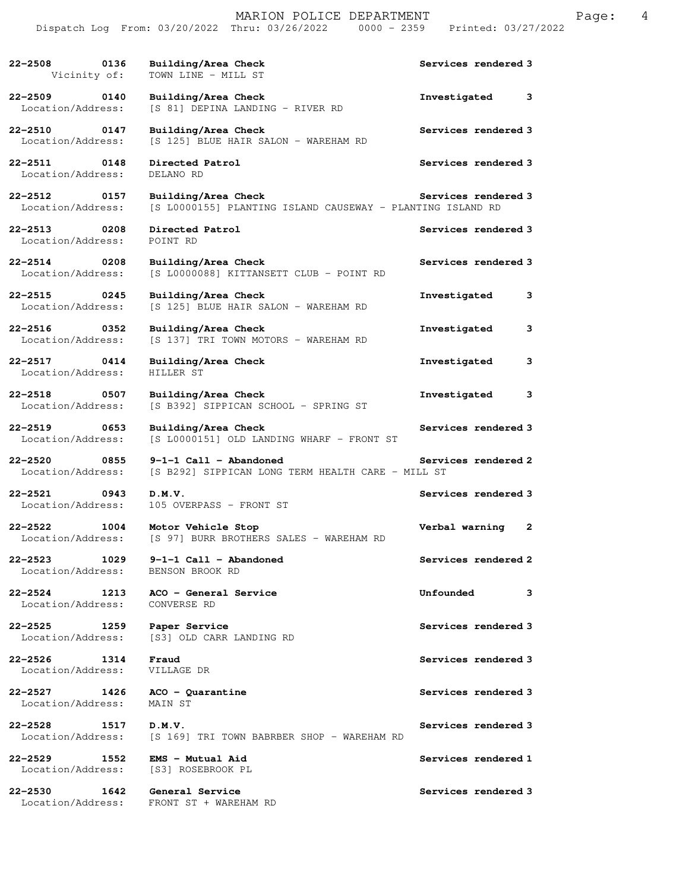|                                                    | MARION POLICE DEPARTMENT<br>Dispatch Log From: 03/20/2022 Thru: 03/26/2022 0000 - 2359 Printed: 03/27/2022 |                     | Page: | 4 |
|----------------------------------------------------|------------------------------------------------------------------------------------------------------------|---------------------|-------|---|
| 22-2508 0136<br>Vicinity of:                       | Building/Area Check<br>TOWN LINE - MILL ST                                                                 | Services rendered 3 |       |   |
| 22-2509 0140<br>Location/Address:                  | Building/Area Check<br>[S 81] DEPINA LANDING - RIVER RD                                                    | Investigated 3      |       |   |
| 22-2510 0147<br>Location/Address:                  | Building/Area Check<br>[S 125] BLUE HAIR SALON - WAREHAM RD                                                | Services rendered 3 |       |   |
| 22-2511 0148<br>Location/Address:                  | Directed Patrol<br>DELANO RD                                                                               | Services rendered 3 |       |   |
| 22-2512 0157<br>Location/Address:                  | Building/Area Check<br>[S L0000155] PLANTING ISLAND CAUSEWAY - PLANTING ISLAND RD                          | Services rendered 3 |       |   |
| 22-2513 0208<br>Location/Address:                  | Directed Patrol<br>POINT RD                                                                                | Services rendered 3 |       |   |
| 22-2514 0208<br>Location/Address:                  | Building/Area Check<br>[S L0000088] KITTANSETT CLUB - POINT RD                                             | Services rendered 3 |       |   |
| 22-2515 0245<br>Location/Address:                  | Building/Area Check<br>[S 125] BLUE HAIR SALON - WAREHAM RD                                                | Investigated<br>3   |       |   |
| 22-2516 0352<br>Location/Address:                  | Building/Area Check<br>[S 137] TRI TOWN MOTORS - WAREHAM RD                                                | Investigated<br>3   |       |   |
| 22-2517 0414<br>Location/Address:                  | Building/Area Check<br>HILLER ST                                                                           | Investigated<br>3   |       |   |
| 0507<br>$22 - 2518$<br>Location/Address:           | Building/Area Check<br>[S B392] SIPPICAN SCHOOL - SPRING ST                                                | 3<br>Investigated   |       |   |
| 22-2519 0653<br>Location/Address:                  | Building/Area Check<br>[S L0000151] OLD LANDING WHARF - FRONT ST                                           | Services rendered 3 |       |   |
| Location/Address:                                  | $22 - 2520$ 0855 9-1-1 Call - Abandoned<br>[S B292] SIPPICAN LONG TERM HEALTH CARE - MILL ST               | Services rendered 2 |       |   |
| 22-2521<br>$\overline{0943}$<br>Location/Address:  | D.M.V.<br>105 OVERPASS - FRONT ST                                                                          | Services rendered 3 |       |   |
| 22-2522 1004<br>Location/Address:                  | Motor Vehicle Stop<br>[S 97] BURR BROTHERS SALES - WAREHAM RD                                              | Verbal warning 2    |       |   |
| 22–2523 1029<br>Location/Address:                  | $9-1-1$ Call - Abandoned<br>BENSON BROOK RD                                                                | Services rendered 2 |       |   |
| 22–2524 1213<br>Location/Address:                  | ACO - General Service<br>CONVERSE RD                                                                       | Unfounded<br>3      |       |   |
| 22-2525 1259<br>Location/Address:                  | Paper Service<br>[S3] OLD CARR LANDING RD                                                                  | Services rendered 3 |       |   |
| 22-2526 1314<br>Location/Address:                  | Fraud<br>VILLAGE DR                                                                                        | Services rendered 3 |       |   |
| 22–2527 1426<br>Location/Address:                  | $ACO - Quarantine$<br>MAIN ST                                                                              | Services rendered 3 |       |   |
| 22-2528<br>1517<br>Location/Address:               | D.M.V.<br>[S 169] TRI TOWN BABRBER SHOP - WAREHAM RD                                                       | Services rendered 3 |       |   |
| 22-2529 1552 EMS - Mutual Aid<br>Location/Address: | [S3] ROSEBROOK PL                                                                                          | Services rendered 1 |       |   |
| $22 - 2530$<br>1642<br>Location/Address:           | General Service<br>FRONT ST + WAREHAM RD                                                                   | Services rendered 3 |       |   |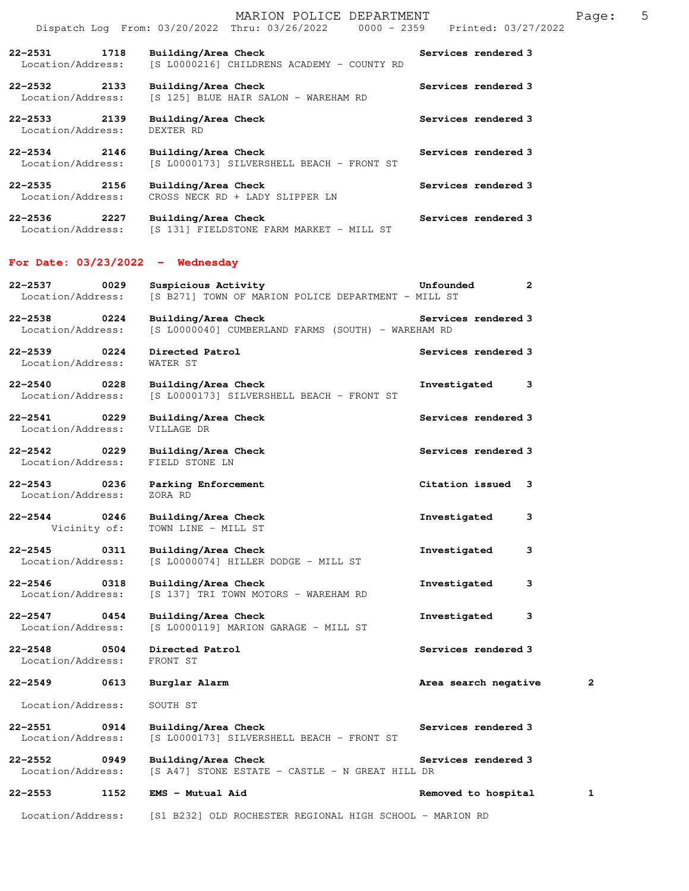|                                          | Dispatch Log From: 03/20/2022 Thru: 03/26/2022 0000 - 2359 Printed: 03/27/2022 |                     |
|------------------------------------------|--------------------------------------------------------------------------------|---------------------|
| 1718<br>$22 - 2531$<br>Location/Address: | Building/Area Check<br>[S L0000216] CHILDRENS ACADEMY - COUNTY RD              | Services rendered 3 |
| 22–2532<br>2133<br>Location/Address:     | Building/Area Check<br>[S 125] BLUE HAIR SALON - WAREHAM RD                    | Services rendered 3 |
| 22-2533 2139<br>Location/Address:        | Building/Area Check<br>DEXTER RD                                               | Services rendered 3 |
| $22 - 2534$ 2146<br>Location/Address:    | Building/Area Check<br>[S L0000173] SILVERSHELL BEACH - FRONT ST               | Services rendered 3 |
| 2156<br>$22 - 2535$<br>Location/Address: | Building/Area Check<br>CROSS NECK RD + LADY SLIPPER LN                         | Services rendered 3 |
| 2227<br>$22 - 2536$<br>Location/Address: | Building/Area Check<br>[S 131] FIELDSTONE FARM MARKET - MILL ST                | Services rendered 3 |

MARION POLICE DEPARTMENT FRAGE: 5

## **For Date: 03/23/2022 - Wednesday**

| 22-2537<br>Location/Address:     | 0029                      | Suspicious Activity<br>[S B271] TOWN OF MARION POLICE DEPARTMENT - MILL ST | Unfounded            | 2 |
|----------------------------------|---------------------------|----------------------------------------------------------------------------|----------------------|---|
| $22 - 2538$<br>Location/Address: | 0224                      | Building/Area Check<br>[S L0000040] CUMBERLAND FARMS (SOUTH) - WAREHAM RD  | Services rendered 3  |   |
| $22 - 2539$<br>Location/Address: | 0224                      | Directed Patrol<br>WATER ST                                                | Services rendered 3  |   |
| 22-2540<br>Location/Address:     | 0228                      | Building/Area Check<br>[S L0000173] SILVERSHELL BEACH - FRONT ST           | Investigated         | 3 |
| 22-2541<br>Location/Address:     | 0229                      | Building/Area Check<br>VILLAGE DR                                          | Services rendered 3  |   |
| $22 - 2542$<br>Location/Address: | 0229                      | Building/Area Check<br>FIELD STONE LN                                      | Services rendered 3  |   |
| $22 - 2543$<br>Location/Address: | 0236                      | Parking Enforcement<br>ZORA RD                                             | Citation issued      | 3 |
| $22 - 2544$                      | 0246<br>Vicinity of:      | Building/Area Check<br>TOWN LINE - MILL ST                                 | Investigated         | 3 |
| $22 - 2545$<br>Location/Address: | 0311                      | Building/Area Check<br>[S L0000074] HILLER DODGE - MILL ST                 | Investigated         | 3 |
| $22 - 2546$<br>Location/Address: | 0318                      | Building/Area Check<br>[S 137] TRI TOWN MOTORS - WAREHAM RD                | Investigated         | 3 |
| 22-2547<br>Location/Address:     | 0454                      | Building/Area Check<br>[S L0000119] MARION GARAGE - MILL ST                | Investigated         | 3 |
| $22 - 2548$<br>Location/Address: | 0504                      | Directed Patrol<br>FRONT ST                                                | Services rendered 3  |   |
| $22 - 2549$                      | 0613                      | Burglar Alarm                                                              | Area search negative | 2 |
| Location/Address:                |                           | SOUTH ST                                                                   |                      |   |
| 22-2551<br>Location/Address:     | 0914                      | Building/Area Check<br>[S L0000173] SILVERSHELL BEACH - FRONT ST           | Services rendered 3  |   |
| $22 - 2552$                      | 0949<br>Location/Address: | Building/Area Check<br>[S A47] STONE ESTATE - CASTLE - N GREAT HILL DR     | Services rendered 3  |   |
| $22 - 2553$                      | 1152                      | EMS - Mutual Aid                                                           | Removed to hospital  | 1 |
| Location/Address:                |                           | [S1 B232] OLD ROCHESTER REGIONAL HIGH SCHOOL - MARION RD                   |                      |   |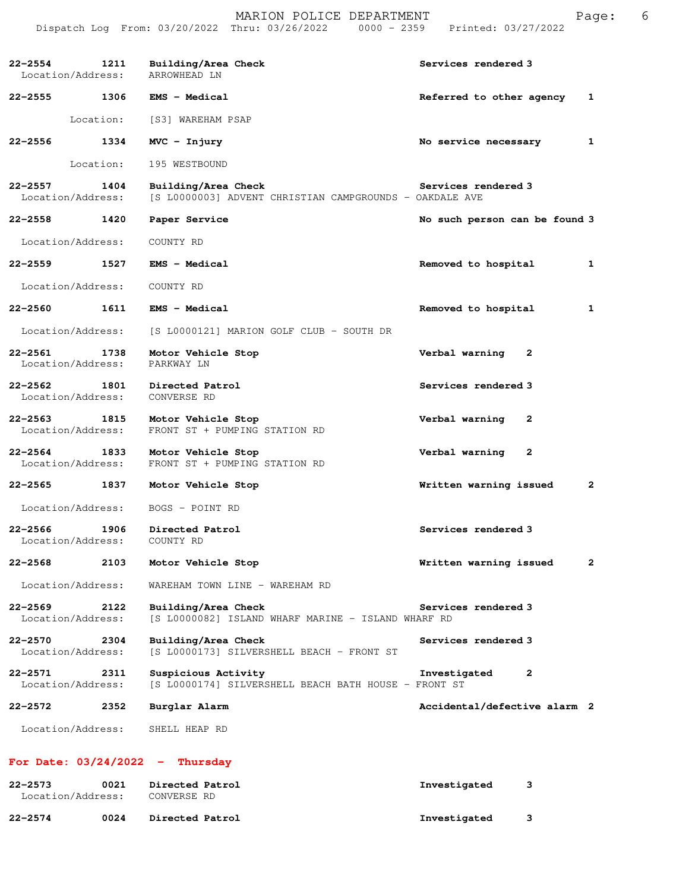|                                   |           | MARION POLICE DEPARTMENT<br>Dispatch Log From: 03/20/2022 Thru: 03/26/2022 0000 - 2359 Printed: 03/27/2022 |                               | Page: | 6 |
|-----------------------------------|-----------|------------------------------------------------------------------------------------------------------------|-------------------------------|-------|---|
| Location/Address:                 |           | 22-2554 1211 Building/Area Check<br>ARROWHEAD LN                                                           | Services rendered 3           |       |   |
|                                   |           | 22-2555 1306 EMS - Medical                                                                                 | Referred to other agency 1    |       |   |
|                                   |           | Location: [S3] WAREHAM PSAP                                                                                |                               |       |   |
| 22-2556                           | 1334      | $MVC - Injury$                                                                                             | No service necessary          | 1     |   |
|                                   | Location: | 195 WESTBOUND                                                                                              |                               |       |   |
| 22-2557 1404<br>Location/Address: |           | Building/Area Check<br>[S L0000003] ADVENT CHRISTIAN CAMPGROUNDS - OAKDALE AVE                             | Services rendered 3           |       |   |
| 22-2558 1420                      |           | Paper Service                                                                                              | No such person can be found 3 |       |   |
| Location/Address:                 |           | COUNTY RD                                                                                                  |                               |       |   |
| 22–2559 1527                      |           | <b>EMS - Medical</b>                                                                                       | Removed to hospital           | 1     |   |
| Location/Address:                 |           | COUNTY RD                                                                                                  |                               |       |   |
|                                   |           | 22-2560 1611 EMS - Medical                                                                                 | Removed to hospital           | 1     |   |
| Location/Address:                 |           | [S L0000121] MARION GOLF CLUB - SOUTH DR                                                                   |                               |       |   |
| 22-2561<br>Location/Address:      | 1738      | Motor Vehicle Stop<br>PARKWAY LN                                                                           | Verbal warning 2              |       |   |
| 22-2562 1801<br>Location/Address: |           | Directed Patrol<br>CONVERSE RD                                                                             | Services rendered 3           |       |   |
| 22–2563<br>Location/Address:      | 1815      | Motor Vehicle Stop<br>FRONT ST + PUMPING STATION RD                                                        | Verbal warning<br>2           |       |   |
| 22-2564 1833<br>Location/Address: |           | Motor Vehicle Stop<br>FRONT ST + PUMPING STATION RD                                                        | Verbal warning 2              |       |   |
| 22–2565 1837                      |           | Motor Vehicle Stop                                                                                         | Written warning issued        | 2     |   |
| Location/Address:                 |           | BOGS - POINT RD                                                                                            |                               |       |   |
| 22-2566<br>Location/Address:      | 1906      | Directed Patrol<br>COUNTY RD                                                                               | Services rendered 3           |       |   |
| 22–2568                           | 2103      | Motor Vehicle Stop                                                                                         | Written warning issued        | 2     |   |
| Location/Address:                 |           | WAREHAM TOWN LINE - WAREHAM RD                                                                             |                               |       |   |
| 22–2569<br>Location/Address:      | 2122      | Building/Area Check<br>[S L0000082] ISLAND WHARF MARINE - ISLAND WHARF RD                                  | Services rendered 3           |       |   |
| 22–2570<br>Location/Address:      | 2304      | Building/Area Check<br>[S L0000173] SILVERSHELL BEACH - FRONT ST                                           | Services rendered 3           |       |   |
| 22-2571<br>Location/Address:      | 2311      | Suspicious Activity<br>[S L0000174] SILVERSHELL BEACH BATH HOUSE - FRONT ST                                | Investigated<br>2             |       |   |
| 22–2572                           | 2352      | Burglar Alarm                                                                                              | Accidental/defective alarm 2  |       |   |
| Location/Address:                 |           | SHELL HEAP RD                                                                                              |                               |       |   |
|                                   |           | For Date: $03/24/2022$ - Thursday                                                                          |                               |       |   |
| 22–2573<br>Location/Address:      | 0021      | Directed Patrol<br>CONVERSE RD                                                                             | Investigated<br>3             |       |   |

**22-2574 0024 Directed Patrol Investigated 3**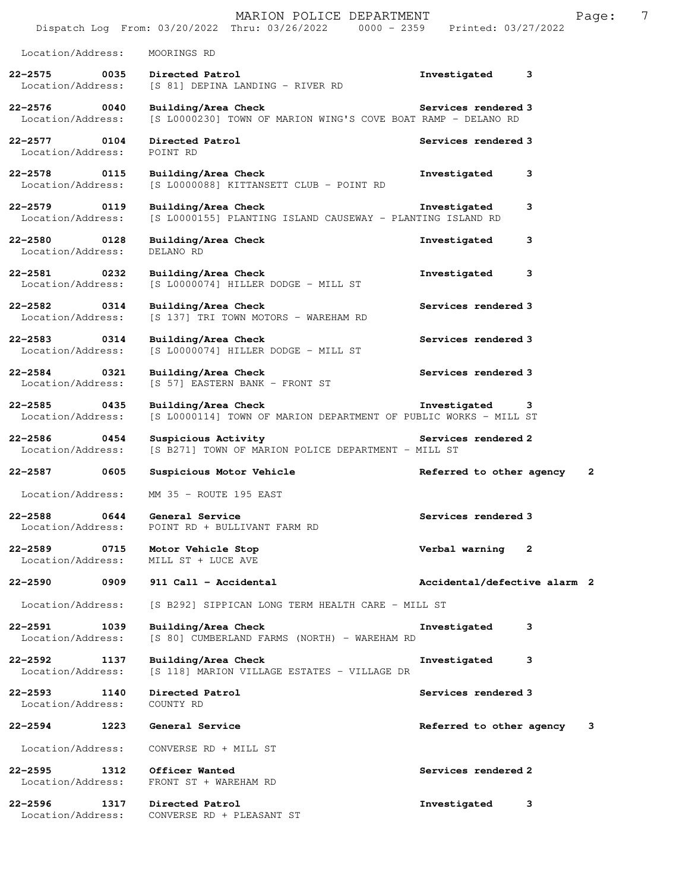|                                          |      | MARION POLICE DEPARTMENT<br>Dispatch Log From: 03/20/2022 Thru: 03/26/2022 0000 - 2359  | Printed: 03/27/2022          |   | Page: | 7 |
|------------------------------------------|------|-----------------------------------------------------------------------------------------|------------------------------|---|-------|---|
| Location/Address:                        |      | MOORINGS RD                                                                             |                              |   |       |   |
| $22 - 2575$<br>Location/Address:         | 0035 | Directed Patrol<br>[S 81] DEPINA LANDING - RIVER RD                                     | Investigated                 | 3 |       |   |
| 22-2576 0040<br>Location/Address:        |      | Building/Area Check<br>[S L0000230] TOWN OF MARION WING'S COVE BOAT RAMP - DELANO RD    | Services rendered 3          |   |       |   |
| 22-2577<br>Location/Address:             | 0104 | Directed Patrol<br>POINT RD                                                             | Services rendered 3          |   |       |   |
| 22-2578 0115<br>Location/Address:        |      | Building/Area Check<br>[S L0000088] KITTANSETT CLUB - POINT RD                          | Investigated                 | 3 |       |   |
| 22-2579<br>Location/Address:             | 0119 | Building/Area Check<br>[S L0000155] PLANTING ISLAND CAUSEWAY - PLANTING ISLAND RD       | Investigated                 | 3 |       |   |
| 22-2580<br>Location/Address:             | 0128 | Building/Area Check<br>DELANO RD                                                        | Investigated                 | 3 |       |   |
| 22-2581<br>Location/Address:             | 0232 | Building/Area Check<br>[S L0000074] HILLER DODGE - MILL ST                              | Investigated                 | 3 |       |   |
| $22 - 2582$<br>Location/Address:         | 0314 | Building/Area Check<br>[S 137] TRI TOWN MOTORS - WAREHAM RD                             | Services rendered 3          |   |       |   |
| $22 - 2583$<br>Location/Address:         | 0314 | Building/Area Check<br>[S L0000074] HILLER DODGE - MILL ST                              | Services rendered 3          |   |       |   |
| 22-2584<br>Location/Address:             | 0321 | Building/Area Check<br>[S 57] EASTERN BANK - FRONT ST                                   | Services rendered 3          |   |       |   |
| $22 - 2585$<br>0435<br>Location/Address: |      | Building/Area Check<br>[S L0000114] TOWN OF MARION DEPARTMENT OF PUBLIC WORKS - MILL ST | Investigated                 | 3 |       |   |
| $22 - 2586$<br>Location/Address:         | 0454 | Suspicious Activity<br>[S B271] TOWN OF MARION POLICE DEPARTMENT - MILL ST              | Services rendered 2          |   |       |   |
| 22-2587                                  | 0605 | Suspicious Motor Vehicle                                                                | Referred to other agency     |   | 2     |   |
| Location/Address:                        |      | MM 35 - ROUTE 195 EAST                                                                  |                              |   |       |   |
| $22 - 2588$<br>Location/Address:         | 0644 | General Service<br>POINT RD + BULLIVANT FARM RD                                         | Services rendered 3          |   |       |   |
| $22 - 2589$<br>Location/Address:         | 0715 | Motor Vehicle Stop<br>MILL ST + LUCE AVE                                                | Verbal warning               | 2 |       |   |
| $22 - 2590$                              | 0909 | 911 Call - Accidental                                                                   | Accidental/defective alarm 2 |   |       |   |
| Location/Address:                        |      | [S B292] SIPPICAN LONG TERM HEALTH CARE - MILL ST                                       |                              |   |       |   |
| 22-2591<br>Location/Address:             | 1039 | Building/Area Check<br>[S 80] CUMBERLAND FARMS (NORTH) - WAREHAM RD                     | Investigated                 | 3 |       |   |
| $22 - 2592$<br>Location/Address:         | 1137 | Building/Area Check<br>[S 118] MARION VILLAGE ESTATES - VILLAGE DR                      | Investigated                 | 3 |       |   |
| 22-2593<br>Location/Address:             | 1140 | Directed Patrol<br>COUNTY RD                                                            | Services rendered 3          |   |       |   |
| $22 - 2594$                              | 1223 | General Service                                                                         | Referred to other agency     |   | 3     |   |
| Location/Address:                        |      | CONVERSE RD + MILL ST                                                                   |                              |   |       |   |
| $22 - 2595$<br>Location/Address:         | 1312 | Officer Wanted<br>FRONT ST + WAREHAM RD                                                 | Services rendered 2          |   |       |   |
| $22 - 2596$<br>Location/Address:         | 1317 | Directed Patrol<br>CONVERSE RD + PLEASANT ST                                            | Investigated                 | 3 |       |   |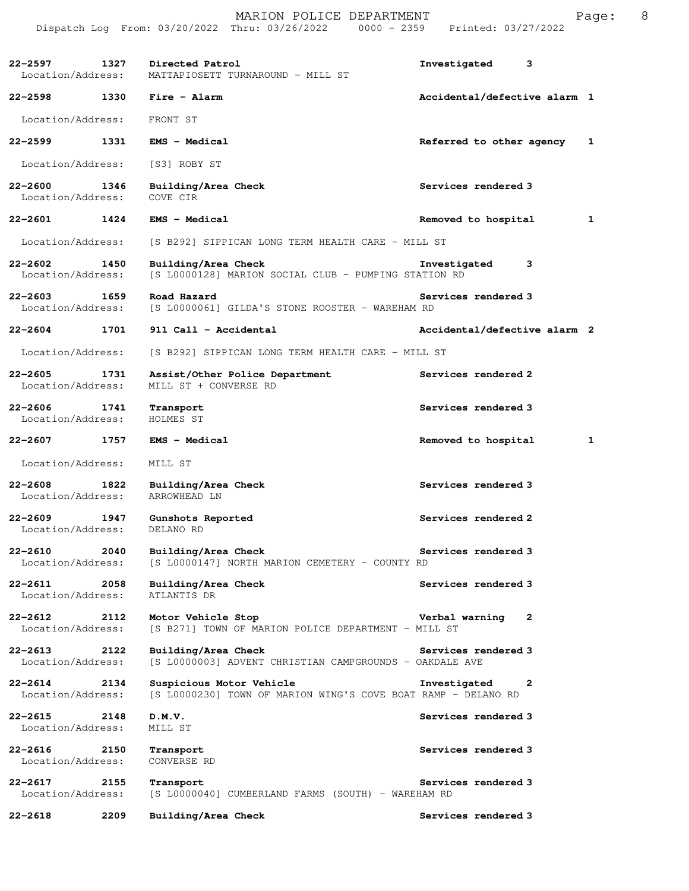**22-2597 1327 Directed Patrol Investigated 3**  Location/Address: MATTAPIOSETT TURNAROUND - MILL ST **22-2598 1330 Fire - Alarm Accidental/defective alarm 1** Location/Address: FRONT ST **22-2599 1331 EMS - Medical Referred to other agency 1** Location/Address: [S3] ROBY ST **22-2600 1346 Building/Area Check Services rendered 3**  Location/Address: **22-2601 1424 EMS - Medical Removed to hospital 1** Location/Address: [S B292] SIPPICAN LONG TERM HEALTH CARE - MILL ST **22-2602 1450 Building/Area Check Investigated 3**  [S L0000128] MARION SOCIAL CLUB - PUMPING STATION RD **22-2603 1659 Road Hazard Services rendered 3**  Location/Address: [S L0000061] GILDA'S STONE ROOSTER - WAREHAM RD **22-2604 1701 911 Call - Accidental Accidental/defective alarm 2** Location/Address: [S B292] SIPPICAN LONG TERM HEALTH CARE - MILL ST **22-2605 1731 Assist/Other Police Department Services rendered 2**  Location/Address: MILL ST + CONVERSE RD **22-2606 1741 Transport Services rendered 3**  Location/Address: HOLMES ST **22-2607 1757 EMS - Medical Removed to hospital 1** Location/Address: MILL ST **22-2608 1822 Building/Area Check Services rendered 3**  Location/Address: ARROWHEAD LN **22-2609 1947 Gunshots Reported Services rendered 2**  Location/Address: DELANO RD **22-2610 2040 Building/Area Check Services rendered 3**  Location/Address: [S L0000147] NORTH MARION CEMETERY - COUNTY RD **22-2611 2058 Building/Area Check Services rendered 3** *L*ocation/Address: ATLANTIS DR Location/Address: **22-2612 2112 Motor Vehicle Stop Verbal warning 2**  Location/Address: [S B271] TOWN OF MARION POLICE DEPARTMENT - MILL ST **22-2613 2122 Building/Area Check Services rendered 3**  Location/Address: [S L0000003] ADVENT CHRISTIAN CAMPGROUNDS - OAKDALE AVE **22-2614 2134 Suspicious Motor Vehicle Investigated 2**  Location/Address: [S L0000230] TOWN OF MARION WING'S COVE BOAT RAMP - DELANO RD **22-2615 2148 D.M.V. Services rendered 3**  Location/Address: MILL ST **22-2616 2150 Transport Services rendered 3**  Location/Address: **22-2617 2155 Transport Services rendered 3**  Location/Address: [S L0000040] CUMBERLAND FARMS (SOUTH) - WAREHAM RD **22-2618 2209 Building/Area Check Services rendered 3**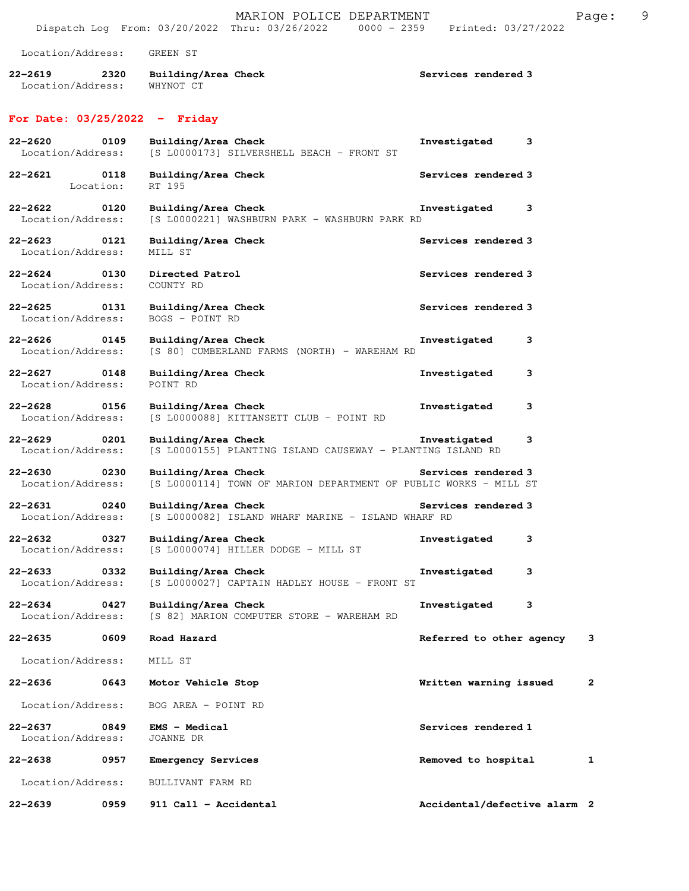|                                          | MARION POLICE DEPARTMENT<br>Dispatch Log From: 03/20/2022 Thru: 03/26/2022 0000 - 2359  | Printed: 03/27/2022          |   | Page:        | 9 |
|------------------------------------------|-----------------------------------------------------------------------------------------|------------------------------|---|--------------|---|
|                                          |                                                                                         |                              |   |              |   |
| Location/Address:                        | GREEN ST                                                                                |                              |   |              |   |
| $22 - 2619$<br>2320<br>Location/Address: | Building/Area Check<br>WHYNOT CT                                                        | Services rendered 3          |   |              |   |
| For Date: $03/25/2022 -$ Friday          |                                                                                         |                              |   |              |   |
| $22 - 2620$<br>0109<br>Location/Address: | Building/Area Check<br>[S L0000173] SILVERSHELL BEACH - FRONT ST                        | Investigated                 | 3 |              |   |
| 22-2621<br>0118<br>Location:             | Building/Area Check<br>RT 195                                                           | Services rendered 3          |   |              |   |
| 22–2622<br>0120<br>Location/Address:     | Building/Area Check<br>[S L0000221] WASHBURN PARK - WASHBURN PARK RD                    | Investigated                 | 3 |              |   |
| $22 - 2623$<br>0121<br>Location/Address: | Building/Area Check<br>MILL ST                                                          | Services rendered 3          |   |              |   |
| $22 - 2624$<br>0130<br>Location/Address: | Directed Patrol<br>COUNTY RD                                                            | Services rendered 3          |   |              |   |
| $22 - 2625$<br>0131<br>Location/Address: | Building/Area Check<br>BOGS - POINT RD                                                  | Services rendered 3          |   |              |   |
| $22 - 2626$<br>0145<br>Location/Address: | Building/Area Check<br>[S 80] CUMBERLAND FARMS (NORTH) - WAREHAM RD                     | Investigated                 | 3 |              |   |
| $22 - 2627$<br>0148<br>Location/Address: | Building/Area Check<br>POINT RD                                                         | Investigated                 | з |              |   |
| $22 - 2628$<br>0156<br>Location/Address: | Building/Area Check<br>[S L0000088] KITTANSETT CLUB - POINT RD                          | Investigated                 | з |              |   |
| $22 - 2629$<br>0201<br>Location/Address: | Building/Area Check<br>[S L0000155] PLANTING ISLAND CAUSEWAY - PLANTING ISLAND RD       | Investigated                 | з |              |   |
| $22 - 2630$<br>0230<br>Location/Address: | Building/Area Check<br>[S L0000114] TOWN OF MARION DEPARTMENT OF PUBLIC WORKS - MILL ST | Services rendered 3          |   |              |   |
| $22 - 2631$<br>0240<br>Location/Address: | Building/Area Check<br>[S L0000082] ISLAND WHARF MARINE - ISLAND WHARF RD               | Services rendered 3          |   |              |   |
| $22 - 2632$<br>0327<br>Location/Address: | Building/Area Check<br>[S L0000074] HILLER DODGE - MILL ST                              | Investigated                 | з |              |   |
| 22-2633<br>0332<br>Location/Address:     | Building/Area Check<br>[S L0000027] CAPTAIN HADLEY HOUSE - FRONT ST                     | Investigated                 | з |              |   |
| $22 - 2634$<br>0427<br>Location/Address: | Building/Area Check<br>[S 82] MARION COMPUTER STORE - WAREHAM RD                        | Investigated                 | 3 |              |   |
| 22-2635<br>0609                          | Road Hazard                                                                             | Referred to other agency     |   | 3            |   |
| Location/Address:                        | MILL ST                                                                                 |                              |   |              |   |
| 22-2636<br>0643                          | Motor Vehicle Stop                                                                      | Written warning issued       |   | $\mathbf{2}$ |   |
| Location/Address:                        | BOG AREA - POINT RD                                                                     |                              |   |              |   |
| $22 - 2637$<br>0849<br>Location/Address: | EMS - Medical<br>JOANNE DR                                                              | Services rendered 1          |   |              |   |
| $22 - 2638$<br>0957                      | <b>Emergency Services</b>                                                               | Removed to hospital          |   | 1            |   |
| Location/Address:                        | BULLIVANT FARM RD                                                                       |                              |   |              |   |
| 22-2639<br>0959                          | 911 Call - Accidental                                                                   | Accidental/defective alarm 2 |   |              |   |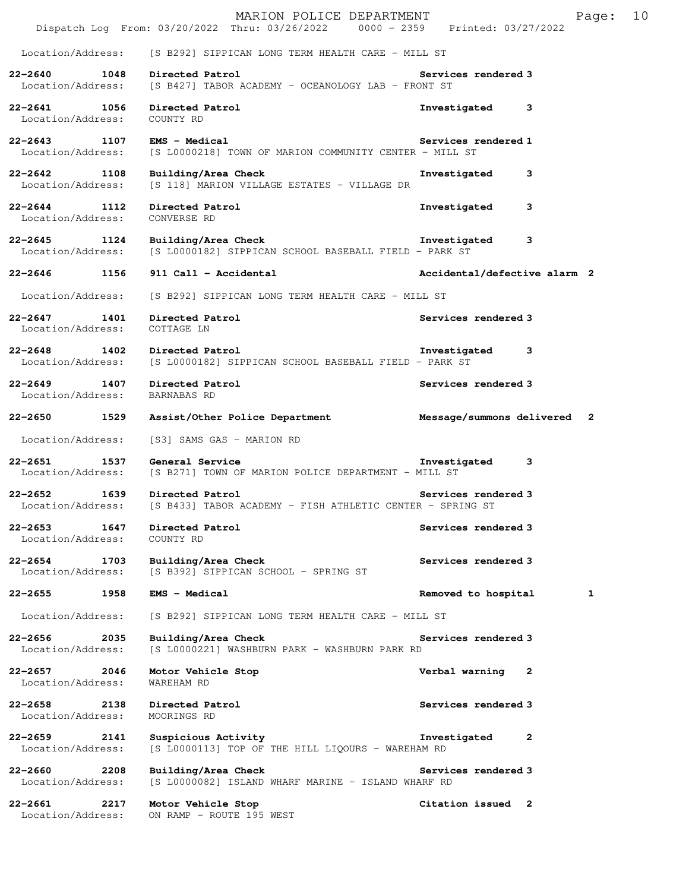|                                          |      | MARION POLICE DEPARTMENT<br>Dispatch Log From: 03/20/2022 Thru: 03/26/2022 0000 - 2359 Printed: 03/27/2022 |                              |              | Page: | 10 |
|------------------------------------------|------|------------------------------------------------------------------------------------------------------------|------------------------------|--------------|-------|----|
|                                          |      | Location/Address: [S B292] SIPPICAN LONG TERM HEALTH CARE - MILL ST                                        |                              |              |       |    |
| 22-2640 1048                             |      | Directed Patrol<br>Location/Address: [S B427] TABOR ACADEMY - OCEANOLOGY LAB - FRONT ST                    | Services rendered 3          |              |       |    |
| 22-2641 1056<br>Location/Address:        |      | Directed Patrol<br>COUNTY RD                                                                               | Investigated                 | 3            |       |    |
| 22–2643 1107<br>Location/Address:        |      | <b>EMS - Medical</b><br>[S L0000218] TOWN OF MARION COMMUNITY CENTER - MILL ST                             | Services rendered 1          |              |       |    |
| 22-2642 1108<br>Location/Address:        |      | Building/Area Check<br>[S 118] MARION VILLAGE ESTATES - VILLAGE DR                                         | Investigated                 | 3            |       |    |
| $22 - 2644$ 1112<br>Location/Address:    |      | Directed Patrol<br>CONVERSE RD                                                                             | Investigated                 | 3            |       |    |
| 22-2645 1124<br>Location/Address:        |      | Building/Area Check<br>[S L0000182] SIPPICAN SCHOOL BASEBALL FIELD - PARK ST                               | Investigated                 | 3            |       |    |
| 22-2646 1156                             |      | 911 Call - Accidental                                                                                      | Accidental/defective alarm 2 |              |       |    |
| Location/Address:                        |      | [S B292] SIPPICAN LONG TERM HEALTH CARE - MILL ST                                                          |                              |              |       |    |
| 22-2647 1401<br>Location/Address:        |      | Directed Patrol<br>COTTAGE LN                                                                              | Services rendered 3          |              |       |    |
| 22–2648 1402<br>Location/Address:        |      | Directed Patrol<br>[S L0000182] SIPPICAN SCHOOL BASEBALL FIELD - PARK ST                                   | Investigated                 | 3            |       |    |
| $22 - 2649$ 1407<br>Location/Address:    |      | Directed Patrol<br>BARNABAS RD                                                                             | Services rendered 3          |              |       |    |
| 22-2650 1529                             |      | Assist/Other Police Department                                                                             | Message/summons delivered 2  |              |       |    |
| Location/Address:                        |      | [S3] SAMS GAS - MARION RD                                                                                  |                              |              |       |    |
| $22 - 2651$<br>Location/Address:         | 1537 | General Service<br>[S B271] TOWN OF MARION POLICE DEPARTMENT - MILL ST                                     | Investigated                 | 3            |       |    |
| $22 - 2652$<br>Location/Address:         | 1639 | Directed Patrol<br>[S B433] TABOR ACADEMY - FISH ATHLETIC CENTER - SPRING ST                               | Services rendered 3          |              |       |    |
| $22 - 2653$<br>Location/Address:         | 1647 | Directed Patrol<br>COUNTY RD                                                                               | Services rendered 3          |              |       |    |
| $22 - 2654$<br>1703<br>Location/Address: |      | Building/Area Check<br>[S B392] SIPPICAN SCHOOL - SPRING ST                                                | Services rendered 3          |              |       |    |
| $22 - 2655$                              | 1958 | EMS - Medical                                                                                              | Removed to hospital          |              | 1     |    |
| Location/Address:                        |      | [S B292] SIPPICAN LONG TERM HEALTH CARE - MILL ST                                                          |                              |              |       |    |
| 22-2656<br>Location/Address:             | 2035 | Building/Area Check<br>[S L0000221] WASHBURN PARK - WASHBURN PARK RD                                       | Services rendered 3          |              |       |    |
| $22 - 2657$<br>Location/Address:         | 2046 | Motor Vehicle Stop<br>WAREHAM RD                                                                           | Verbal warning               | 2            |       |    |
| $22 - 2658$<br>Location/Address:         | 2138 | Directed Patrol<br>MOORINGS RD                                                                             | Services rendered 3          |              |       |    |
| $22 - 2659$<br>Location/Address:         | 2141 | Suspicious Activity<br>[S L0000113] TOP OF THE HILL LIQOURS - WAREHAM RD                                   | Investigated                 | $\mathbf{2}$ |       |    |
| $22 - 2660$<br>Location/Address:         | 2208 | Building/Area Check<br>[S L0000082] ISLAND WHARF MARINE - ISLAND WHARF RD                                  | Services rendered 3          |              |       |    |
| 22-2661<br>Location/Address:             | 2217 | Motor Vehicle Stop<br>ON RAMP - ROUTE 195 WEST                                                             | Citation issued 2            |              |       |    |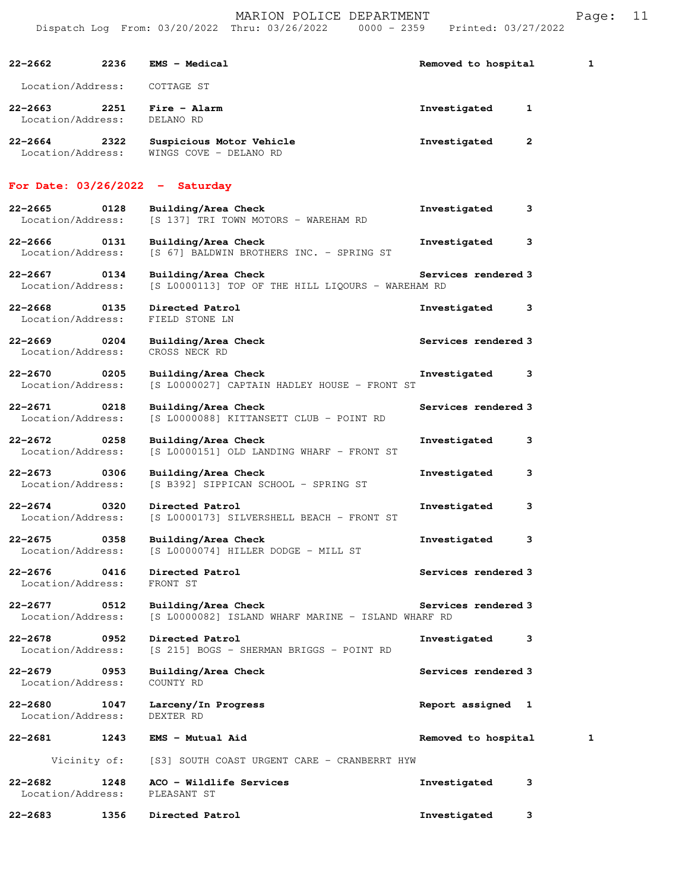|                                  |              | Dispatch Log From: 03/20/2022 Thru: 03/26/2022                            | $0000 - 2359$<br>Printed: 03/27/2022 |   |
|----------------------------------|--------------|---------------------------------------------------------------------------|--------------------------------------|---|
| 22–2662                          | 2236         | <b>EMS - Medical</b>                                                      | Removed to hospital                  | 1 |
| Location/Address:                |              | COTTAGE ST                                                                |                                      |   |
| 22-2663<br>Location/Address:     | 2251         | Fire - Alarm<br>DELANO RD                                                 | Investigated<br>1                    |   |
| $22 - 2664$<br>Location/Address: | 2322         | Suspicious Motor Vehicle<br>WINGS COVE - DELANO RD                        | Investigated<br>2                    |   |
|                                  |              | For Date: $03/26/2022 - Saturday$                                         |                                      |   |
| 22-2665<br>Location/Address:     | 0128         | Building/Area Check<br>[S 137] TRI TOWN MOTORS - WAREHAM RD               | Investigated<br>3                    |   |
| 22–2666<br>Location/Address:     | 0131         | Building/Area Check<br>[S 67] BALDWIN BROTHERS INC. - SPRING ST           | Investigated<br>3                    |   |
| $22 - 2667$<br>Location/Address: | 0134         | Building/Area Check<br>[S L0000113] TOP OF THE HILL LIQOURS - WAREHAM RD  | Services rendered 3                  |   |
| $22 - 2668$<br>Location/Address: | 0135         | Directed Patrol<br>FIELD STONE LN                                         | Investigated<br>3                    |   |
| 22–2669<br>Location/Address:     | 0204         | Building/Area Check<br>CROSS NECK RD                                      | Services rendered 3                  |   |
| $22 - 2670$<br>Location/Address: | 0205         | Building/Area Check<br>[S L0000027] CAPTAIN HADLEY HOUSE - FRONT ST       | Investigated<br>3                    |   |
| $22 - 2671$<br>Location/Address: | 0218         | Building/Area Check<br>[S L0000088] KITTANSETT CLUB - POINT RD            | Services rendered 3                  |   |
| $22 - 2672$<br>Location/Address: | 0258         | Building/Area Check<br>[S L0000151] OLD LANDING WHARF - FRONT ST          | Investigated<br>3                    |   |
| $22 - 2673$<br>Location/Address: | 0306         | Building/Area Check<br>[S B392] SIPPICAN SCHOOL - SPRING ST               | Investigated<br>3                    |   |
| $22 - 2674$<br>Location/Address: | 0320         | Directed Patrol<br>[S L0000173] SILVERSHELL BEACH - FRONT ST              | 3<br>Investigated                    |   |
| $22 - 2675$<br>Location/Address: | 0358         | Building/Area Check<br>[S L0000074] HILLER DODGE - MILL ST                | Investigated<br>3                    |   |
| $22 - 2676$<br>Location/Address: | 0416         | Directed Patrol<br>FRONT ST                                               | Services rendered 3                  |   |
| 22-2677<br>Location/Address:     | 0512         | Building/Area Check<br>[S L0000082] ISLAND WHARF MARINE - ISLAND WHARF RD | Services rendered 3                  |   |
| $22 - 2678$<br>Location/Address: | 0952         | Directed Patrol<br>[S 215] BOGS - SHERMAN BRIGGS - POINT RD               | Investigated<br>3                    |   |
| $22 - 2679$<br>Location/Address: | 0953         | Building/Area Check<br>COUNTY RD                                          | Services rendered 3                  |   |
| $22 - 2680$<br>Location/Address: | 1047         | Larceny/In Progress<br>DEXTER RD                                          | Report assigned 1                    |   |
| 22-2681                          | 1243         | EMS - Mutual Aid                                                          | Removed to hospital                  | 1 |
|                                  | Vicinity of: | [S3] SOUTH COAST URGENT CARE - CRANBERRT HYW                              |                                      |   |
| $22 - 2682$<br>Location/Address: | 1248         | ACO - Wildlife Services<br>PLEASANT ST                                    | Investigated<br>3                    |   |
| 22-2683                          | 1356         | Directed Patrol                                                           | Investigated<br>з                    |   |